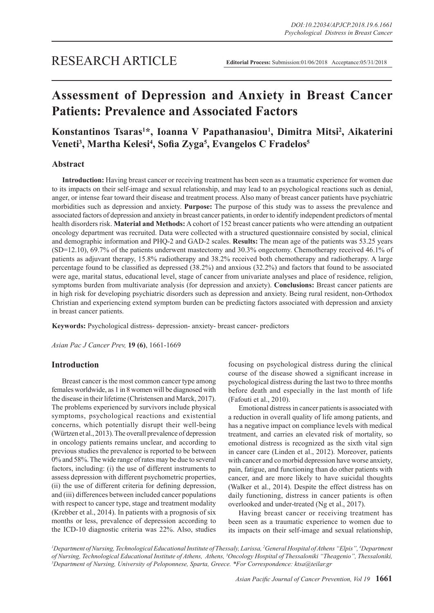# **Assessment of Depression and Anxiety in Breast Cancer Patients: Prevalence and Associated Factors**

## **Konstantinos Tsaras1 \*, Ioanna V Papathanasiou1 , Dimitra Mitsi2 , Aikaterini Veneti3 , Martha Kelesi4 , Sofia Zyga<sup>5</sup> , Evangelos C Fradelos<sup>5</sup>**

## **Abstract**

**Introduction:** Having breast cancer or receiving treatment has been seen as a traumatic experience for women due to its impacts on their self-image and sexual relationship, and may lead to an psychological reactions such as denial, anger, or intense fear toward their disease and treatment process. Also many of breast cancer patients have psychiatric morbidities such as depression and anxiety. **Purpose:** The purpose of this study was to assess the prevalence and associated factors of depression and anxiety in breast cancer patients, in order to identify independent predictors of mental health disorders risk. **Material and Methods:** A cohort of 152 breast cancer patients who were attending an outpatient oncology department was recruited. Data were collected with a structured questionnaire consisted by social, clinical and demographic information and PHQ-2 and GAD-2 scales. **Results:** The mean age of the patients was 53.25 years (SD=12.10), 69.7% of the patients underwent mastectomy and 30.3% ongectomy. Chemotherapy received 46.1% of patients as adjuvant therapy, 15.8% radiotherapy and 38.2% received both chemotherapy and radiotherapy. A large percentage found to be classified as depressed (38.2%) and anxious (32.2%) and factors that found to be associated were age, marital status, educational level, stage of cancer from univariate analyses and place of residence, religion, symptoms burden from multivariate analysis (for depression and anxiety). **Conclusions:** Breast cancer patients are in high risk for developing psychiatric disorders such as depression and anxiety. Being rural resident, non-Orthodox Christian and experiencing extend symptom burden can be predicting factors associated with depression and anxiety in breast cancer patients.

**Keywords:** Psychological distress- depression- anxiety- breast cancer- predictors

*Asian Pac J Cancer Prev,* **19 (6)**, 1661-1669

## **Introduction**

Breast cancer is the most common cancer type among females worldwide, as 1 in 8 women will be diagnosed with the disease in their lifetime (Christensen and Marck, 2017). The problems experienced by survivors include physical symptoms, psychological reactions and existential concerns, which potentially disrupt their well-being (Würtzen et al., 2013). The overall prevalence of depression in oncology patients remains unclear, and according to previous studies the prevalence is reported to be between 0% and 58%. The wide range of rates may be due to several factors, including: (i) the use of different instruments to assess depression with different psychometric properties, (ii) the use of different criteria for defining depression, and (iii) differences between included cancer populations with respect to cancer type, stage and treatment modality (Krebber et al., 2014). In patients with a prognosis of six months or less, prevalence of depression according to the ICD-10 diagnostic criteria was 22%. Also, studies

focusing on psychological distress during the clinical course of the disease showed a significant increase in psychological distress during the last two to three months before death and especially in the last month of life (Fafouti et al., 2010).

Emotional distress in cancer patients is associated with a reduction in overall quality of life among patients, and has a negative impact on compliance levels with medical treatment, and carries an elevated risk of mortality, so emotional distress is recognized as the sixth vital sign in cancer care (Linden et al., 2012). Moreover, patients with cancer and co morbid depression have worse anxiety, pain, fatigue, and functioning than do other patients with cancer, and are more likely to have suicidal thoughts (Walker et al., 2014). Despite the effect distress has on daily functioning, distress in cancer patients is often overlooked and under-treated (Ng et al., 2017).

Having breast cancer or receiving treatment has been seen as a traumatic experience to women due to its impacts on their self-image and sexual relationship,

*1 Department of Nursing, Technological Educational Institute of Thessaly, Larissa, 2 General Hospital of Athens "Elpis", 4 Department*  of Nursing, Technological Educational Institute of Athens, Athens, <sup>3</sup>Oncology Hospital of Thessaloniki "Theagenio", Thessaloniki,<br><sup>5</sup>Department of Nursing, University of Pelononnese, Sparta, Greece, \*For Correspondence: k *Department of Nursing, University of Peloponnese, Sparta, Greece. \*For Correspondence: ktsa@teilar.gr*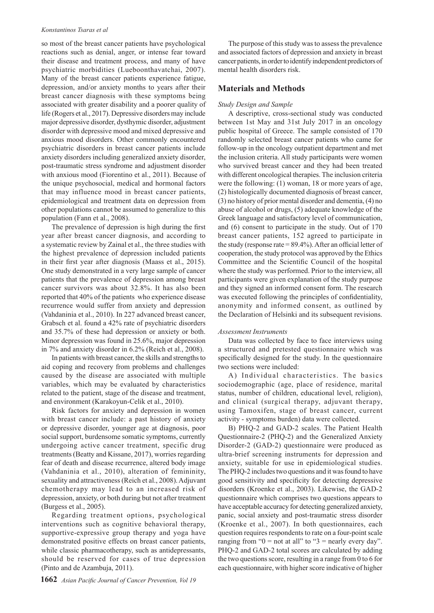so most of the breast cancer patients have psychological reactions such as denial, anger, or intense fear toward their disease and treatment process, and many of have psychiatric morbidities (Lueboonthavatchai, 2007). Many of the breast cancer patients experience fatigue, depression, and/or anxiety months to years after their breast cancer diagnosis with these symptoms being associated with greater disability and a poorer quality of life (Rogers et al., 2017). Depressive disorders may include major depressive disorder, dysthymic disorder, adjustment disorder with depressive mood and mixed depressive and anxious mood disorders. Other commonly encountered psychiatric disorders in breast cancer patients include anxiety disorders including generalized anxiety disorder, post-traumatic stress syndrome and adjustment disorder with anxious mood (Fiorentino et al., 2011). Because of the unique psychosocial, medical and hormonal factors that may influence mood in breast cancer patients, epidemiological and treatment data on depression from other populations cannot be assumed to generalize to this population (Fann et al., 2008).

The prevalence of depression is high during the first year after breast cancer diagnosis, and according to a systematic review by Zainal et al., the three studies with the highest prevalence of depression included patients in their first year after diagnosis (Maass et al., 2015). One study demonstrated in a very large sample of cancer patients that the prevalence of depression among breast cancer survivors was about 32.8%. It has also been reported that 40% of the patients who experience disease recurrence would suffer from anxiety and depression (Vahdaninia et al., 2010). In 227 advanced breast cancer, Grabsch et al. found a 42% rate of psychiatric disorders and 35.7% of these had depression or anxiety or both. Minor depression was found in 25.6%, major depression in 7% and anxiety disorder in 6.2% (Reich et al., 2008).

In patients with breast cancer, the skills and strengths to aid coping and recovery from problems and challenges caused by the disease are associated with multiple variables, which may be evaluated by characteristics related to the patient, stage of the disease and treatment, and environment (Karakoyun-Celik et al., 2010).

Risk factors for anxiety and depression in women with breast cancer include: a past history of anxiety or depressive disorder, younger age at diagnosis, poor social support, burdensome somatic symptoms, currently undergoing active cancer treatment, specific drug treatments (Beatty and Kissane, 2017), worries regarding fear of death and disease recurrence, altered body image (Vahdaninia et al., 2010), alteration of femininity, sexuality and attractiveness (Reich et al., 2008). Adjuvant chemotherapy may lead to an increased risk of depression, anxiety, or both during but not after treatment (Burgess et al., 2005).

Regarding treatment options, psychological interventions such as cognitive behavioral therapy, supportive-expressive group therapy and yoga have demonstrated positive effects on breast cancer patients, while classic pharmacotherapy, such as antidepressants, should be reserved for cases of true depression (Pinto and de Azambuja, 2011).

The purpose of this study was to assess the prevalence and associated factors of depression and anxiety in breast cancer patients, in order to identify independent predictors of mental health disorders risk.

## **Materials and Methods**

## *Study Design and Sample*

A descriptive, cross-sectional study was conducted between 1st May and 31st July 2017 in an oncology public hospital of Greece. The sample consisted of 170 randomly selected breast cancer patients who came for follow-up in the oncology outpatient department and met the inclusion criteria. All study participants were women who survived breast cancer and they had been treated with different oncological therapies. The inclusion criteria were the following: (1) woman, 18 or more years of age, (2) histologically documented diagnosis of breast cancer, (3) no history of prior mental disorder and dementia, (4) no abuse of alcohol or drugs, (5) adequate knowledge of the Greek language and satisfactory level of communication, and (6) consent to participate in the study. Out of 170 breast cancer patients, 152 agreed to participate in the study (response rate  $= 89.4\%$ ). After an official letter of cooperation, the study protocol was approved by the Ethics Committee and the Scientific Council of the hospital where the study was performed. Prior to the interview, all participants were given explanation of the study purpose and they signed an informed consent form. The research was executed following the principles of confidentiality, anonymity and informed consent, as outlined by the Declaration of Helsinki and its subsequent revisions.

## *Assessment Instruments*

Data was collected by face to face interviews using a structured and pretested questionnaire which was specifically designed for the study. In the questionnaire two sections were included:

A) Individual characteristics. The basics sociodemographic (age, place of residence, marital status, number of children, educational level, religion), and clinical (surgical therapy, adjuvant therapy, using Tamoxifen, stage of breast cancer, current activity - symptoms burden) data were collected.

B) PHQ-2 and GAD-2 scales. The Patient Health Questionnaire-2 (PHQ-2) and the Generalized Anxiety Disorder-2 (GAD-2) questionnaire were produced as ultra-brief screening instruments for depression and anxiety, suitable for use in epidemiological studies. The PHQ-2 includes two questions and it was found to have good sensitivity and specificity for detecting depressive disorders (Kroenke et al., 2003). Likewise, the GAD-2 questionnaire which comprises two questions appears to have acceptable accuracy for detecting generalized anxiety, panic, social anxiety and post-traumatic stress disorder (Kroenke et al., 2007). In both questionnaires, each question requires respondents to rate on a four-point scale ranging from " $0 =$  not at all" to " $3 =$  nearly every day". PHQ-2 and GAD-2 total scores are calculated by adding the two questions score, resulting in a range from 0 to 6 for each questionnaire, with higher score indicative of higher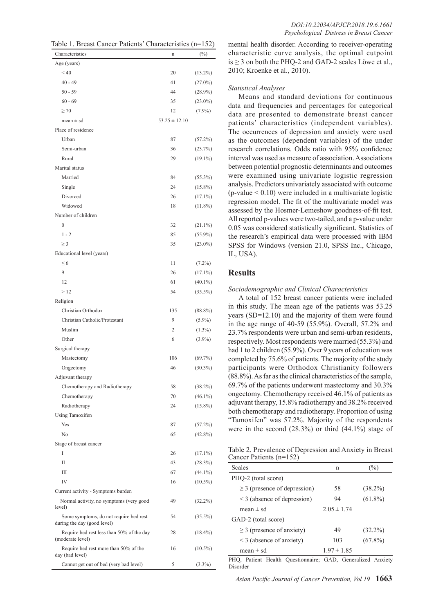| Table 1. Breast Cancer Patients' Characteristics (n=152) |  |  |
|----------------------------------------------------------|--|--|
|----------------------------------------------------------|--|--|

| Characteristics                                                       | n                 | $(\%)$     |
|-----------------------------------------------------------------------|-------------------|------------|
| Age (years)                                                           |                   |            |
| ${}_{< 40}$                                                           | 20                | $(13.2\%)$ |
| $40 - 49$                                                             | 41                | $(27.0\%)$ |
| $50 - 59$                                                             | 44                | $(28.9\%)$ |
| $60 - 69$                                                             | 35                | $(23.0\%)$ |
| $\geq 70$                                                             | 12                | $(7.9\%)$  |
| $mean \pm sd$                                                         | $53.25 \pm 12.10$ |            |
| Place of residence                                                    |                   |            |
| Urban                                                                 | 87                | $(57.2\%)$ |
| Semi-urban                                                            | 36                | (23.7%)    |
| Rural                                                                 | 29                | $(19.1\%)$ |
| Marital status                                                        |                   |            |
| Married                                                               | 84                | $(55.3\%)$ |
| Single                                                                | 24                | $(15.8\%)$ |
| Divorced                                                              | 26                | $(17.1\%)$ |
| Widowed                                                               | 18                | $(11.8\%)$ |
| Number of children                                                    |                   |            |
| $\theta$                                                              | 32                | $(21.1\%)$ |
| $1 - 2$                                                               | 85                | $(55.9\%)$ |
| $\geq$ 3                                                              | 35                | $(23.0\%)$ |
| Educational level (years)                                             |                   |            |
| $\leq 6$                                                              | 11                | $(7.2\%)$  |
| 9                                                                     | 26                | $(17.1\%)$ |
| 12                                                                    | 61                | $(40.1\%)$ |
| >12                                                                   | 54                | $(35.5\%)$ |
| Religion                                                              |                   |            |
| Christian Orthodox                                                    | 135               | $(88.8\%)$ |
| Christian Catholic/Protestant                                         | 9                 | $(5.9\%)$  |
| Muslim                                                                | 2                 | $(1.3\%)$  |
| Other                                                                 | 6                 | $(3.9\%)$  |
| Surgical therapy                                                      |                   |            |
| Mastectomy                                                            | 106               | $(69.7\%)$ |
| Ongectomy                                                             | 46                | $(30.3\%)$ |
| Adjuvant therapy                                                      |                   |            |
| Chemotherapy and Radiotherapy                                         | 58                | $(38.2\%)$ |
| Chemotherapy                                                          | 70                | $(46.1\%)$ |
| Radiotherapy                                                          | 24                | $(15.8\%)$ |
| Using Tamoxifen                                                       |                   |            |
| Yes                                                                   | 87                | $(57.2\%)$ |
| N <sub>0</sub>                                                        | 65                | $(42.8\%)$ |
| Stage of breast cancer                                                |                   |            |
| T                                                                     | 26                | $(17.1\%)$ |
| $_{\rm II}$                                                           | 43                | (28.3%)    |
| Ш                                                                     | 67                | $(44.1\%)$ |
| IV                                                                    | 16                | $(10.5\%)$ |
| Current activity - Symptoms burden                                    |                   |            |
| Normal activity, no symptoms (very good<br>level)                     | 49                | $(32.2\%)$ |
| Some symptoms, do not require bed rest<br>during the day (good level) | 54                | $(35.5\%)$ |
| Require bed rest less than 50% of the day<br>(moderate level)         | 28                | $(18.4\%)$ |
| Require bed rest more than 50% of the<br>day (bad level)              | 16                | $(10.5\%)$ |
| Cannot get out of bed (very bad level)                                | 5                 | $(3.3\%)$  |

mental health disorder. According to receiver-operating characteristic curve analysis, the optimal cutpoint is  $\geq$  3 on both the PHQ-2 and GAD-2 scales Löwe et al., 2010; Kroenke et al., 2010).

#### *Statistical Analyses*

Means and standard deviations for continuous data and frequencies and percentages for categorical data are presented to demonstrate breast cancer patients' characteristics (independent variables). The occurrences of depression and anxiety were used as the outcomes (dependent variables) of the under research correlations. Odds ratio with 95% confidence interval was used as measure of association. Associations between potential prognostic determinants and outcomes were examined using univariate logistic regression analysis. Predictors univariately associated with outcome  $(p$ -value  $< 0.10)$  were included in a multivariate logistic regression model. The fit of the multivariate model was assessed by the Hosmer-Lemeshow goodness-of-fit test. All reported p-values were two-tailed, and a p-value under 0.05 was considered statistically significant. Statistics of the research's empirical data were processed with IBM SPSS for Windows (version 21.0, SPSS Inc., Chicago, IL, USA).

## **Results**

#### *Sociodemographic and Clinical Characteristics*

A total of 152 breast cancer patients were included in this study. The mean age of the patients was 53.25 years (SD=12.10) and the majority of them were found in the age range of 40-59 (55.9%). Overall, 57.2% and 23.7% respondents were urban and semi-urban residents, respectively. Most respondents were married (55.3%) and had 1 to 2 children (55.9%). Over 9 years of education was completed by 75.6% of patients. The majority of the study participants were Orthodox Christianity followers (88.8%). As far as the clinical characteristics of the sample, 69.7% of the patients underwent mastectomy and 30.3% ongectomy. Chemotherapy received 46.1% of patients as adjuvant therapy, 15.8% radiotherapy and 38.2% received both chemotherapy and radiotherapy. Proportion of using "Tamoxifen" was 57.2%. Majority of the respondents were in the second  $(28.3\%)$  or third  $(44.1\%)$  stage of

Table 2. Prevalence of Depression and Anxiety in Breast Cancer Patients (n=152)

| <b>Scales</b>                     | n               | $(\%)$     |
|-----------------------------------|-----------------|------------|
| PHQ-2 (total score)               |                 |            |
| $\geq$ 3 (presence of depression) | 58              | $(38.2\%)$ |
| $\leq$ 3 (absence of depression)  | 94              | $(61.8\%)$ |
| mean $\pm$ sd                     | $2.05 \pm 1.74$ |            |
| GAD-2 (total score)               |                 |            |
| $\geq$ 3 (presence of anxiety)    | 49              | $(32.2\%)$ |
| $\leq$ 3 (absence of anxiety)     | 103             | $(67.8\%)$ |
| mean $\pm$ sd                     | $1.97 \pm 1.85$ |            |

PHQ, Patient Health Questionnaire; GAD, Generalized Anxiety Disorder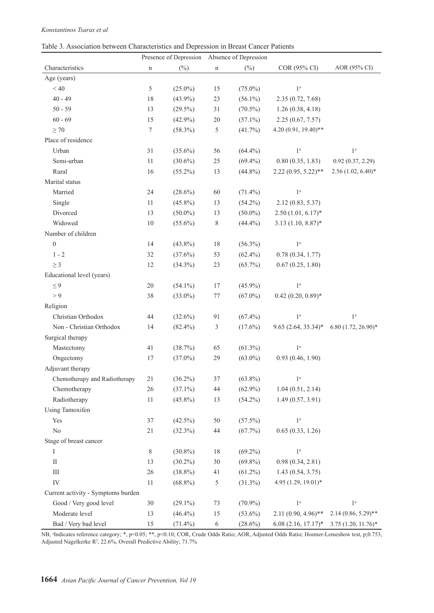|  |  |  |  | Table 3. Association between Characteristics and Depression in Breast Cancer Patients |  |  |  |  |  |
|--|--|--|--|---------------------------------------------------------------------------------------|--|--|--|--|--|
|--|--|--|--|---------------------------------------------------------------------------------------|--|--|--|--|--|

|                                    |        | Presence of Depression Absence of Depression |               |            |                         |                          |
|------------------------------------|--------|----------------------------------------------|---------------|------------|-------------------------|--------------------------|
| Characteristics                    | n      | $(\%)$                                       | n             | $(\%)$     | COR (95% CI)            | AOR (95% CI)             |
| Age (years)                        |        |                                              |               |            |                         |                          |
| < 40                               | 5      | $(25.0\%)$                                   | 15            | $(75.0\%)$ | 1 <sup>a</sup>          |                          |
| $40 - 49$                          | 18     | $(43.9\%)$                                   | 23            | $(56.1\%)$ | 2.35(0.72, 7.68)        |                          |
| $50 - 59$                          | 13     | $(29.5\%)$                                   | 31            | $(70.5\%)$ | 1.26(0.38, 4.18)        |                          |
| $60 - 69$                          | 15     | $(42.9\%)$                                   | $20\,$        | $(57.1\%)$ | 2.25(0.67, 7.57)        |                          |
| $\geq 70$                          | 7      | $(58.3\%)$                                   | 5             | $(41.7\%)$ | 4.20 (0.91, 19.40)**    |                          |
| Place of residence                 |        |                                              |               |            |                         |                          |
| Urban                              | 31     | $(35.6\%)$                                   | 56            | $(64.4\%)$ | 1 <sup>a</sup>          | 1 <sup>a</sup>           |
| Semi-urban                         | 11     | $(30.6\%)$                                   | $25\,$        | $(69.4\%)$ | 0.80(0.35, 1.83)        | 0.92(0.37, 2.29)         |
| Rural                              | 16     | $(55.2\%)$                                   | 13            | $(44.8\%)$ | $2.22(0.95, 5.22)$ **   | $2.56(1.02, 6.40)$ *     |
| Marital status                     |        |                                              |               |            |                         |                          |
| Married                            | 24     | $(28.6\%)$                                   | $60\,$        | $(71.4\%)$ | 1 <sup>a</sup>          |                          |
| Single                             | 11     | $(45.8\%)$                                   | 13            | $(54.2\%)$ | 2.12 (0.83, 5.37)       |                          |
| Divorced                           | 13     | $(50.0\%)$                                   | 13            | $(50.0\%)$ | $2.50(1.01, 6.17)^*$    |                          |
| Widowed                            | $10\,$ | $(55.6\%)$                                   | 8             | $(44.4\%)$ | $3.13(1.10, 8.87)$ *    |                          |
| Number of children                 |        |                                              |               |            |                         |                          |
| $\boldsymbol{0}$                   | 14     | $(43.8\%)$                                   | 18            | $(56.3\%)$ | 1 <sup>a</sup>          |                          |
| $1 - 2$                            | 32     | $(37.6\%)$                                   | 53            | $(62.4\%)$ | 0.78(0.34, 1.77)        |                          |
| $\geq 3$                           | 12     | $(34.3\%)$                                   | 23            | $(65.7\%)$ | 0.67(0.25, 1.80)        |                          |
| Educational level (years)          |        |                                              |               |            |                         |                          |
| $\leq 9$                           | 20     | $(54.1\%)$                                   | 17            | $(45.9\%)$ | 1 <sup>a</sup>          |                          |
| > 9                                | 38     | $(33.0\%)$                                   | $77 \,$       | $(67.0\%)$ | $0.42$ $(0.20, 0.89)$ * |                          |
| Religion                           |        |                                              |               |            |                         |                          |
| Christian Orthodox                 | 44     | $(32.6\%)$                                   | 91            | $(67.4\%)$ | 1 <sup>a</sup>          | 1 <sup>a</sup>           |
| Non - Christian Orthodox           | 14     | $(82.4\%)$                                   | 3             | $(17.6\%)$ | $9.65(2.64, 35.34)^*$   | $6.80(1.72, 26.90)^*$    |
| Surgical therapy                   |        |                                              |               |            |                         |                          |
| Mastectomy                         | 41     | (38.7%)                                      | 65            | $(61.3\%)$ | 1 <sup>a</sup>          |                          |
| Ongectomy                          | 17     | $(37.0\%)$                                   | 29            | $(63.0\%)$ | 0.93(0.46, 1.90)        |                          |
| Adjuvant therapy                   |        |                                              |               |            |                         |                          |
| Chemotherapy and Radiotherapy      | 21     | $(36.2\%)$                                   | 37            | $(63.8\%)$ | 1 <sup>a</sup>          |                          |
| Chemotherapy                       | 26     | $(37.1\%)$                                   | 44            | $(62.9\%)$ | 1.04(0.51, 2.14)        |                          |
| Radiotherapy                       | 11     | $(45.8\%)$                                   | 13            | $(54.2\%)$ | 1.49(0.57, 3.91)        |                          |
| Using Tamoxifen                    |        |                                              |               |            |                         |                          |
| Yes                                | 37     | $(42.5\%)$                                   | $50\,$        | $(57.5\%)$ | $1^{\mathrm{a}}$        |                          |
| $\rm No$                           | 21     | (32.3%)                                      | $44\,$        | (67.7%)    | 0.65(0.33, 1.26)        |                          |
| Stage of breast cancer             |        |                                              |               |            |                         |                          |
| I                                  | $8\,$  | $(30.8\%)$                                   | 18            | $(69.2\%)$ | 1 <sup>a</sup>          |                          |
| $\mathop{\mathrm{II}}\nolimits$    | 13     | $(30.2\%)$                                   | 30            | $(69.8\%)$ | 0.98(0.34, 2.81)        |                          |
| $\rm III$                          | 26     | $(38.8\%)$                                   | 41            | $(61.2\%)$ | 1.43(0.54, 3.75)        |                          |
| IV                                 | $11\,$ | $(68.8\%)$                                   | $\mathfrak s$ | $(31.3\%)$ | 4.95 (1.29, 19.01)*     |                          |
| Current activity - Symptoms burden |        |                                              |               |            |                         |                          |
| Good / Very good level             | $30\,$ | $(29.1\%)$                                   | $73\,$        | $(70.9\%)$ | 1 <sup>a</sup>          | $1^{\mathrm{a}}$         |
| Moderate level                     | 13     | $(46.4\%)$                                   | 15            | $(53.6\%)$ | $2.11(0.90, 4.96)$ **   | $2.14(0.86, 5.29)$ **    |
| Bad / Very bad level               | 15     | $(71.4\%)$                                   | $\sqrt{6}$    | $(28.6\%)$ | $6.08(2.16, 17.17)^*$   | $3.75$ $(1.20, 11.76)$ * |

NB, <sup>a</sup>Indicates reference category; \*, p<0.05; \*\*, p<0.10; COR, Crude Odds Ratio; AOR, Adjusted Odds Ratio; Hosmer-Lemeshow test, p;0.753, Adjusted Nagelkerke R<sup>2</sup>, 22.6%, Overall Predictive Ability; 71.7%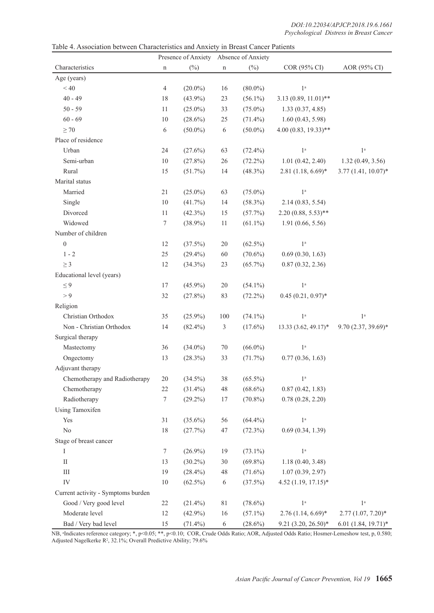|                                    |                |            | Presence of Anxiety Absence of Anxiety |            |                        |                       |
|------------------------------------|----------------|------------|----------------------------------------|------------|------------------------|-----------------------|
| Characteristics                    | n              | $(\%)$     | $\mathbf n$                            | $(\%)$     | COR (95% CI)           | AOR (95% CI)          |
| Age (years)                        |                |            |                                        |            |                        |                       |
| < 40                               | $\overline{4}$ | $(20.0\%)$ | 16                                     | $(80.0\%)$ | 1 <sup>a</sup>         |                       |
| $40 - 49$                          | 18             | $(43.9\%)$ | 23                                     | $(56.1\%)$ | $3.13(0.89, 11.01)$ ** |                       |
| $50 - 59$                          | 11             | $(25.0\%)$ | 33                                     | $(75.0\%)$ | 1.33(0.37, 4.85)       |                       |
| $60 - 69$                          | $10\,$         | $(28.6\%)$ | $25\,$                                 | $(71.4\%)$ | 1.60(0.43, 5.98)       |                       |
| $\geq 70$                          | 6              | $(50.0\%)$ | $\sqrt{6}$                             | $(50.0\%)$ | $4.00(0.83, 19.33)$ ** |                       |
| Place of residence                 |                |            |                                        |            |                        |                       |
| Urban                              | 24             | $(27.6\%)$ | 63                                     | $(72.4\%)$ | 1 <sup>a</sup>         | 1 <sup>a</sup>        |
| Semi-urban                         | $10\,$         | $(27.8\%)$ | $26\,$                                 | $(72.2\%)$ | 1.01(0.42, 2.40)       | 1.32(0.49, 3.56)      |
| Rural                              | 15             | $(51.7\%)$ | 14                                     | $(48.3\%)$ | $2.81(1.18, 6.69)*$    | $3.77(1.41, 10.07)^*$ |
| Marital status                     |                |            |                                        |            |                        |                       |
| Married                            | $21\,$         | $(25.0\%)$ | 63                                     | $(75.0\%)$ | 1 <sup>a</sup>         |                       |
| Single                             | $10\,$         | $(41.7\%)$ | 14                                     | $(58.3\%)$ | 2.14(0.83, 5.54)       |                       |
| Divorced                           | 11             | $(42.3\%)$ | 15                                     | (57.7%)    | $2.20(0.88, 5.53)$ **  |                       |
| Widowed                            | $\tau$         | $(38.9\%)$ | 11                                     | $(61.1\%)$ | 1.91(0.66, 5.56)       |                       |
| Number of children                 |                |            |                                        |            |                        |                       |
| $\boldsymbol{0}$                   | 12             | $(37.5\%)$ | $20\,$                                 | $(62.5\%)$ | $1^{\rm a}$            |                       |
| $1 - 2$                            | 25             | $(29.4\%)$ | 60                                     | $(70.6\%)$ | 0.69(0.30, 1.63)       |                       |
| $\geq 3$                           | 12             | $(34.3\%)$ | 23                                     | $(65.7\%)$ | 0.87(0.32, 2.36)       |                       |
| Educational level (years)          |                |            |                                        |            |                        |                       |
| $\leq 9$                           | 17             | $(45.9\%)$ | $20\,$                                 | $(54.1\%)$ | 1 <sup>a</sup>         |                       |
| > 9                                | 32             | $(27.8\%)$ | 83                                     | $(72.2\%)$ | $0.45(0.21, 0.97)$ *   |                       |
| Religion                           |                |            |                                        |            |                        |                       |
| Christian Orthodox                 | 35             | $(25.9\%)$ | $100\,$                                | $(74.1\%)$ | 1 <sup>a</sup>         | 1 <sup>a</sup>        |
| Non - Christian Orthodox           | 14             | $(82.4\%)$ | 3                                      | $(17.6\%)$ | $13.33(3.62, 49.17)^*$ | $9.70(2.37, 39.69)*$  |
| Surgical therapy                   |                |            |                                        |            |                        |                       |
| Mastectomy                         | 36             | $(34.0\%)$ | $70\,$                                 | $(66.0\%)$ | 1 <sup>a</sup>         |                       |
| Ongectomy                          | 13             | (28.3%)    | 33                                     | (71.7%)    | 0.77(0.36, 1.63)       |                       |
| Adjuvant therapy                   |                |            |                                        |            |                        |                       |
| Chemotherapy and Radiotherapy      | 20             | $(34.5\%)$ | 38                                     | $(65.5\%)$ | 1 <sup>a</sup>         |                       |
| Chemotherapy                       | 22             | $(31.4\%)$ | $48\,$                                 | $(68.6\%)$ | 0.87(0.42, 1.83)       |                       |
| Radiotherapy                       | $\tau$         | $(29.2\%)$ | 17                                     | $(70.8\%)$ | 0.78(0.28, 2.20)       |                       |
| Using Tamoxifen                    |                |            |                                        |            |                        |                       |
| Yes                                | 31             | $(35.6\%)$ | 56                                     | $(64.4\%)$ | $1^{\rm a}$            |                       |
| $\rm No$                           | 18             | (27.7%)    | 47                                     | $(72.3\%)$ | 0.69(0.34, 1.39)       |                       |
| Stage of breast cancer             |                |            |                                        |            |                        |                       |
| Ι                                  | $\tau$         | $(26.9\%)$ | 19                                     | $(73.1\%)$ | $1^{\rm a}$            |                       |
| $\rm II$                           | 13             | $(30.2\%)$ | $30\,$                                 | $(69.8\%)$ | 1.18(0.40, 3.48)       |                       |
| $\rm III$                          | 19             | $(28.4\%)$ | 48                                     | $(71.6\%)$ | 1.07(0.39, 2.97)       |                       |
| IV                                 | $10\,$         | $(62.5\%)$ | 6                                      | $(37.5\%)$ | $4.52$ (1.19, 17.15)*  |                       |
| Current activity - Symptoms burden |                |            |                                        |            |                        |                       |
| Good / Very good level             | 22             | $(21.4\%)$ | 81                                     | $(78.6\%)$ | 1 <sup>a</sup>         | 1 <sup>a</sup>        |
| Moderate level                     | 12             | $(42.9\%)$ | 16                                     | $(57.1\%)$ | $2.76$ (1.14, 6.69)*   | $2.77(1.07, 7.20)$ *  |
| Bad / Very bad level               | 15             | $(71.4\%)$ | 6                                      | $(28.6\%)$ | 9.21 (3.20, 26.50)*    | $6.01(1.84, 19.71)*$  |

Table 4. Association between Characteristics and Anxiety in Breast Cancer Patients

NB, <sup>a</sup>Indicates reference category; \*, p<0.05; \*\*, p<0.10; COR, Crude Odds Ratio; AOR, Adjusted Odds Ratio; Hosmer-Lemeshow test, p, 0.580; Adjusted Nagelkerke R<sup>2</sup>, 32.1%; Overall Predictive Ability; 79.6%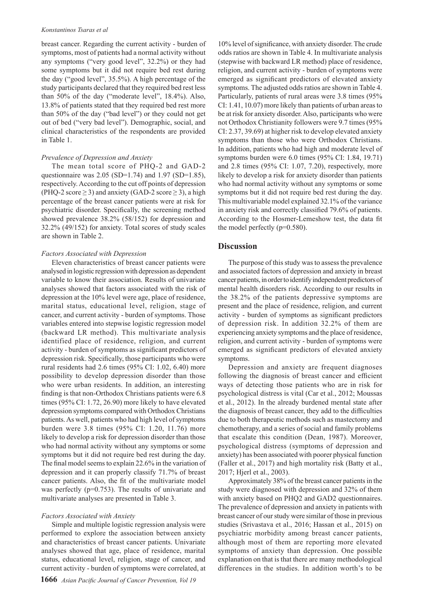breast cancer. Regarding the current activity - burden of symptoms, most of patients had a normal activity without any symptoms ("very good level", 32.2%) or they had some symptoms but it did not require bed rest during the day ("good level", 35.5%). A high percentage of the study participants declared that they required bed rest less than 50% of the day ("moderate level", 18.4%). Also, 13.8% of patients stated that they required bed rest more than 50% of the day ("bad level") or they could not get out of bed ("very bad level"). Demographic, social, and clinical characteristics of the respondents are provided in Table 1.

#### *Prevalence of Depression and Anxiety*

The mean total score of PHQ-2 and GAD-2 questionnaire was  $2.05$  (SD=1.74) and 1.97 (SD=1.85), respectively. According to the cut off points of depression (PHQ-2 score  $\geq$  3) and anxiety (GAD-2 score  $\geq$  3), a high percentage of the breast cancer patients were at risk for psychiatric disorder. Specifically, the screening method showed prevalence 38.2% (58/152) for depression and 32.2% (49/152) for anxiety. Total scores of study scales are shown in Table 2.

#### *Factors Associated with Depression*

Eleven characteristics of breast cancer patients were analysed in logistic regression with depression as dependent variable to know their association. Results of univariate analyses showed that factors associated with the risk of depression at the 10% level were age, place of residence, marital status, educational level, religion, stage of cancer, and current activity - burden of symptoms. Those variables entered into stepwise logistic regression model (backward LR method). This multivariate analysis identified place of residence, religion, and current activity - burden of symptoms as significant predictors of depression risk. Specifically, those participants who were rural residents had 2.6 times (95% CI: 1.02, 6.40) more possibility to develop depression disorder than those who were urban residents. In addition, an interesting finding is that non-Orthodox Christians patients were 6.8 times (95% CI: 1.72, 26.90) more likely to have elevated depression symptoms compared with Orthodox Christians patients. As well, patients who had high level of symptoms burden were 3.8 times (95% CI: 1.20, 11.76) more likely to develop a risk for depression disorder than those who had normal activity without any symptoms or some symptoms but it did not require bed rest during the day. The final model seems to explain 22.6% in the variation of depression and it can properly classify 71.7% of breast cancer patients. Also, the fit of the multivariate model was perfectly (p=0.753). The results of univariate and multivariate analyses are presented in Table 3.

#### *Factors Associated with Anxiety*

Simple and multiple logistic regression analysis were performed to explore the association between anxiety and characteristics of breast cancer patients. Univariate analyses showed that age, place of residence, marital status, educational level, religion, stage of cancer, and current activity - burden of symptoms were correlated, at

10% level of significance, with anxiety disorder. The crude odds ratios are shown in Table 4. In multivariate analysis (stepwise with backward LR method) place of residence, religion, and current activity - burden of symptoms were emerged as significant predictors of elevated anxiety symptoms. The adjusted odds ratios are shown in Table 4. Particularly, patients of rural areas were 3.8 times (95% CI: 1.41, 10.07) more likely than patients of urban areas to be at risk for anxiety disorder. Also, participants who were not Orthodox Christianity followers were 9.7 times (95% CI: 2.37, 39.69) at higher risk to develop elevated anxiety symptoms than those who were Orthodox Christians. In addition, patients who had high and moderate level of symptoms burden were 6.0 times (95% CI: 1.84, 19.71) and 2.8 times (95% CI: 1.07, 7.20), respectively, more likely to develop a risk for anxiety disorder than patients who had normal activity without any symptoms or some symptoms but it did not require bed rest during the day. This multivariable model explained 32.1% of the variance in anxiety risk and correctly classified 79.6% of patients. According to the Hosmer-Lemeshow test, the data fit the model perfectly (p=0.580).

## **Discussion**

The purpose of this study was to assess the prevalence and associated factors of depression and anxiety in breast cancer patients, in order to identify independent predictors of mental health disorders risk. According to our results in the 38.2% of the patients depressive symptoms are present and the place of residence, religion, and current activity - burden of symptoms as significant predictors of depression risk. In addition 32.2% of them are experiencing anxiety symptoms and the place of residence, religion, and current activity - burden of symptoms were emerged as significant predictors of elevated anxiety symptoms.

Depression and anxiety are frequent diagnoses following the diagnosis of breast cancer and efficient ways of detecting those patients who are in risk for psychological distress is vital (Car et al., 2012; Moussas et al., 2012). In the already burdened mental state after the diagnosis of breast cancer, they add to the difficulties due to both therapeutic methods such as mastectomy and chemotherapy, and a series of social and family problems that escalate this condition (Dean, 1987). Moreover, psychological distress (symptoms of depression and anxiety) has been associated with poorer physical function (Faller et al., 2017) and high mortality risk (Batty et al., 2017; Hjerl et al., 2003).

Approximately 38% of the breast cancer patients in the study were diagnosed with depression and 32% of them with anxiety based on PHO2 and GAD2 questionnaires. The prevalence of depression and anxiety in patients with breast cancer of our study were similar of those in previous studies (Srivastava et al., 2016; Hassan et al., 2015) on psychiatric morbidity among breast cancer patients, although most of them are reporting more elevated symptoms of anxiety than depression. One possible explanation on that is that there are many methodological differences in the studies. In addition worth's to be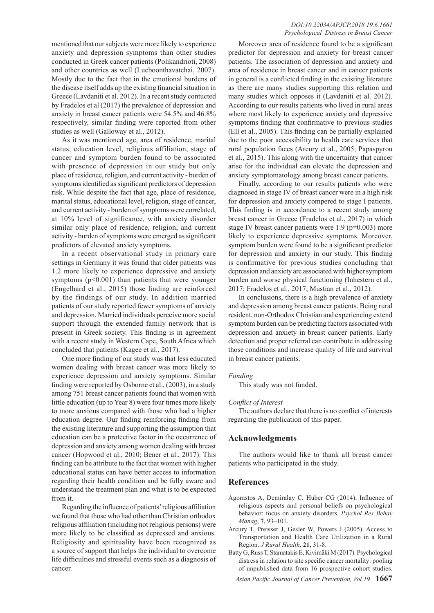mentioned that our subjects were more likely to experience anxiety and depression symptoms than other studies conducted in Greek cancer patients (Polikandrioti, 2008) and other countries as well (Lueboonthavatchai, 2007). Mostly due to the fact that in the emotional burdens of the disease itself adds up the existing financial situation in Greece (Lavdaniti et al. 2012). In a recent study contucted by Fradelos et al (2017) the prevalence of depression and anxiety in breast cancer patients were 54.5% and 46.8% respectively, similar finding were reported from other studies as well (Galloway et al., 2012).

As it was mentioned age, area of residence, marital status, education level, religious affiliation, stage of cancer and symptom burden found to be associated with presence of depression in our study but only place of residence, religion, and current activity - burden of symptoms identified as significant predictors of depression risk. While despite the fact that age, place of residence, marital status, educational level, religion, stage of cancer, and current activity - burden of symptoms were correlated, at 10% level of significance, with anxiety disorder similar only place of residence, religion, and current activity - burden of symptoms were emerged as significant predictors of elevated anxiety symptoms.

In a recent observational study in primary care settings in Germany it was found that older patients was 1.2 more likely to experience depressive and anxiety symptoms  $(p<0.001)$  than patients that were younger (Engelhard et al., 2015) those finding are reinforced by the findings of our study. In addition married patients of our study reported fewer symptoms of anxiety and depression. Married individuals perceive more social support through the extended family network that is present in Greek society. This finding is in agreement with a recent study in Western Cape, South Africa which concluded that patients (Kagee et al., 2017).

One more finding of our study was that less educated women dealing with breast cancer was more likely to experience depression and anxiety symptoms. Similar finding were reported by Osborne et al., (2003), in a study among 751 breast cancer patients found that women with little education (up to Year 8) were four times more likely to more anxious compared with those who had a higher education degree. Our finding reinforcing finding from the existing literature and supporting the assumption that education can be a protective factor in the occurrence of depression and anxiety among women dealing with breast cancer (Hopwood et al., 2010; Bener et al., 2017). This finding can be attribute to the fact that women with higher educational status can have better access to information regarding their health condition and be fully aware and understand the treatment plan and what is to be expected from it.

Regarding the influence of patients' religious affiliation we found that those who had other than Christian orthodox religious affiliation (including not religious persons) were more likely to be classified as depressed and anxious. Religiosity and spirituality have been recognized as a source of support that helps the individual to overcome life difficulties and stressful events such as a diagnosis of cancer.

Moreover area of residence found to be a significant predictor for depression and anxiety for breast cancer patients. The association of depression and anxiety and area of residence in breast cancer and in cancer patients in general is a conflicted finding in the existing literature as there are many studies supporting this relation and many studies which opposes it (Lavdaniti et al. 2012). According to our results patients who lived in rural areas where most likely to experience anxiety and depressive symptoms finding that confirmative to previous studies (Ell et al., 2005). This finding can be partially explained due to the poor accessibility to health care services that rural population faces (Arcury et al., 2005; Papaspyrou et al., 2015). This along with the uncertainty that cancer arise for the individual can elevate the depression and anxiety symptomatology among breast cancer patients.

Finally, according to our results patients who were diagnosed in stage IV of breast cancer were in a high risk for depression and anxiety compered to stage I patients. This finding is in accordance to a recent study among breast cancer in Greece (Fradelos et al., 2017) in which stage IV breast cancer patients were 1.9 (p=0.003) more likely to experience depressive symptoms. Moreover, symptom burden were found to be a significant predictor for depression and anxiety in our study. This finding is confirmative for previous studies concluding that depression and anxiety are associated with higher symptom burden and worse physical functioning (Inhestern et al., 2017; Fradelos et al., 2017; Mustian et al., 2012).

In conclusions, there is a high prevalence of anxiety and depression among breast cancer patients. Being rural resident, non-Orthodox Christian and experiencing extend symptom burden can be predicting factors associated with depression and anxiety in breast cancer patients. Early detection and proper referral can contribute in addressing those conditions and increase quality of life and survival in breast cancer patients.

#### *Funding*

This study was not funded.

#### *Conflict of Interest*

The authors declare that there is no conflict of interests regarding the publication of this paper.

## **Acknowledgments**

The authors would like to thank all breast cancer patients who participated in the study.

### **References**

- Agorastos A, Demiralay C, Huber CG (2014). Influence of religious aspects and personal beliefs on psychological behavior: focus on anxiety disorders. *Psychol Res Behav Manag*, **7**, 93–101.
- Arcury T, Preisser J, Gesler W, Powers J (2005). Access to Transportation and Health Care Utilization in a Rural Region. *J Rural Health*, **21**, 31-8.
- Batty G, Russ T, Stamatakis E, Kivimäki M (2017). Psychological distress in relation to site specific cancer mortality: pooling of unpublished data from 16 prospective cohort studies.

*Asian Pacific Journal of Cancer Prevention, Vol 19* **1667**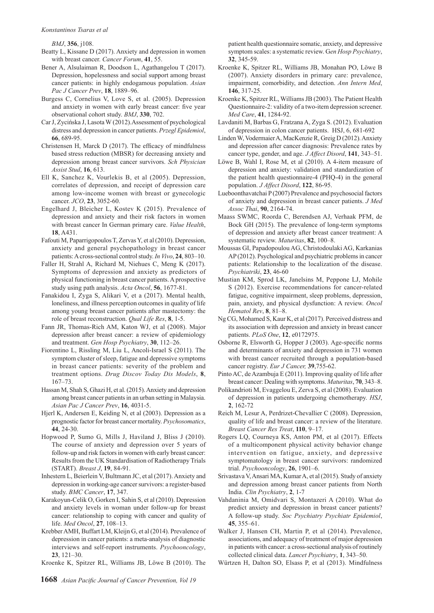*BMJ*, **356**, j108.

- Beatty L, Kissane D (2017). Anxiety and depression in women with breast cancer. *Cancer Forum*, **41**, 55.
- Bener A, Alsulaiman R, Doodson L, Agathangelou T (2017). Depression, hopelessness and social support among breast cancer patients: in highly endogamous population. *Asian Pac J Cancer Prev*, **18**, 1889–96.
- Burgess C, Cornelius V, Love S, et al. (2005). Depression and anxiety in women with early breast cancer: five year observational cohort study. *BMJ*, **330**, 702.
- Car J, Zycińska J, Lasota W (2012).Assessment of psychological distress and depression in cancer patients. *Przegl Epidemiol*, **66**, 689-95.
- Christensen H, Marck D (2017). The efficacy of mindfulness based stress reduction (MBSR) for decreasing anxiety and depression among breast cancer survivors. *Sch Physician Assist Stud*, **16**, 613.
- Ell K, Sanchez K, Vourlekis B, et al (2005). Depression, correlates of depression, and receipt of depression care among low-income women with breast or gynecologic cancer. *JCO*, **23**, 3052-60.
- Engelhard J, Bleicher L, Kostev K (2015). Prevalence of depression and anxiety and their risk factors in women with breast cancer In German primary care. *Value Health*, **18**, A431.
- Fafouti M, Paparrigopoulos T, Zervas Y, et al (2010). Depression, anxiety and general psychopathology in breast cancer patients: A cross-sectional control study. *In Vivo*, **24**, 803–10.
- Faller H, Strahl A, Richard M, Niehues C, Meng K (2017). Symptoms of depression and anxiety as predictors of physical functioning in breast cancer patients. A prospective study using path analysis. *Acta Oncol*, **56**, 1677-81.
- Fanakidou I, Zyga S, Alikari V, et a (2017). Mental health, loneliness, and illness perception outcomes in quality of life among young breast cancer patients after mastectomy: the role of breast reconstruction. *Qual Life Res*, **8**, 1-5.
- Fann JR, Thomas-Rich AM, Katon WJ, et al (2008). Major depression after breast cancer: a review of epidemiology and treatment. *Gen Hosp Psychiatry*, **30**, 112–26.
- Fiorentino L, Rissling M, Liu L, Ancoli-Israel S (2011). The symptom cluster of sleep, fatigue and depressive symptoms in breast cancer patients: severity of the problem and treatment options. *Drug Discov Today Dis Models*, **8**, 167–73.
- Hassan M, Shah S, Ghazi H, et al. (2015). Anxiety and depression among breast cancer patients in an urban setting in Malaysia. *Asian Pac J Cancer Prev*, **16**, 4031-5.
- Hjerl K, Andersen E, Keiding N, et al (2003). Depression as a prognostic factor for breast cancer mortality. *Psychosomatics*, **44**, 24-30.
- Hopwood P, Sumo G, Mills J, Haviland J, Bliss J (2010). The course of anxiety and depression over 5 years of follow-up and risk factors in women with early breast cancer: Results from the UK Standardisation of Radiotherapy Trials (START). *Breast J*, **19**, 84-91.
- Inhestern L, Beierlein V, Bultmann JC, et al (2017). Anxiety and depression in working-age cancer survivors: a register-based study. *BMC Cancer*, **17**, 347.
- Karakoyun-Celik O, Gorken I, Sahin S, et al (2010). Depression and anxiety levels in woman under follow-up for breast cancer: relationship to coping with cancer and quality of life. *Med Oncol*, **27**, 108–13.
- Krebber AMH, Buffart LM, Kleijn G, et al (2014). Prevalence of depression in cancer patients: a meta-analysis of diagnostic interviews and self-report instruments. *Psychooncology*, **23**, 121–30.
- Kroenke K, Spitzer RL, Williams JB, Löwe B (2010). The

patient health questionnaire somatic, anxiety, and depressive symptom scales: a systematic review. G*en Hosp Psychiatry*, **32**, 345-59.

- Kroenke K, Spitzer RL, Williams JB, Monahan PO, Löwe B (2007). Anxiety disorders in primary care: prevalence, impairment, comorbidity, and detection. *Ann Intern Med*, **146**, 317-25.
- Kroenke K, Spitzer RL, Williams JB (2003). The Patient Health Questionnaire-2: validity of a two-item depression screener. *Med Care*, **41**, 1284-92.
- Lavdaniti M, Barbas G, Fratzana A, Zyga S. (2012). Evaluation of depression in colon cancer patients. HSJ, 6, 681-692
- Linden W, Vodermaier A, MacKenzie R, Greig D (2012). Anxiety and depression after cancer diagnosis: Prevalence rates by cancer type, gender, and age. *J Affect Disord*, **141**, 343–51.
- Löwe B, Wahl I, Rose M, et al (2010). A 4-item measure of depression and anxiety: validation and standardization of the patient health questionnaire-4 (PHQ-4) in the general population. *J Affect Disord*, **122**, 86-95.
- Lueboonthavatchai P (2007) Prevalence and psychosocial factors of anxiety and depression in breast cancer patients. *J Med Assoc Thai*, **90**, 2164-74.
- Maass SWMC, Roorda C, Berendsen AJ, Verhaak PFM, de Bock GH (2015). The prevalence of long-term symptoms of depression and anxiety after breast cancer treatment: A systematic review. *Maturitas*, **82**, 100–8.
- Moussas GI, Papadopoulou AG, Christodoulaki AG, Karkanias AP (2012). Psychological and psychiatric problems in cancer patients: Relationship to the localization of the disease. *Psychiatriki*, **23**, 46-60
- Mustian KM, Sprod LK, Janelsins M, Peppone LJ, Mohile S (2012). Exercise recommendations for cancer-related fatigue, cognitive impairment, sleep problems, depression, pain, anxiety, and physical dysfunction: A review. *Oncol Hematol Rev*, **8**, 81–8.
- Ng CG, Mohamed S, Kaur K, et al (2017). Perceived distress and its association with depression and anxiety in breast cancer patients. *PLoS One*, **12**, e0172975.
- Osborne R, Elsworth G, Hopper J (2003). Age-specific norms and determinants of anxiety and depression in 731 women with breast cancer recruited through a population-based cancer registry. *Eur J Cancer,* **39**,755-62.
- Pinto AC, de Azambuja E (2011). Improving quality of life after breast cancer: Dealing with symptoms. *Maturitas*, **70**, 343–8.
- Polikandrioti M, Evaggelou E, Zerva S, et al (2008). Evaluation of depression in patients undergoing chemotherapy. *HSJ*, **2**, 162-72
- Reich M, Lesur A, Perdrizet-Chevallier C (2008). Depression, quality of life and breast cancer: a review of the literature. *Breast Cancer Res Treat*, **110**, 9–17.
- Rogers LQ, Courneya KS, Anton PM, et al (2017). Effects of a multicomponent physical activity behavior change intervention on fatigue, anxiety, and depressive symptomatology in breast cancer survivors: randomized trial. *Psychooncology*, **26**, 1901–6.
- Srivastava V, Ansari MA, Kumar A, et al (2015). Study of anxiety and depression among breast cancer patients from North India. *Clin Psychiatry*, **2**, 1-7
- Vahdaninia M, Omidvari S, Montazeri A (2010). What do predict anxiety and depression in breast cancer patients? A follow-up study. *Soc Psychiatry Psychiatr Epidemiol*, **45**, 355–61.
- Walker J, Hansen CH, Martin P, et al (2014). Prevalence, associations, and adequacy of treatment of major depression in patients with cancer: a cross-sectional analysis of routinely collected clinical data. *Lancet Psychiatry*, **1**, 343–50.
- Würtzen H, Dalton SO, Elsass P, et al (2013). Mindfulness